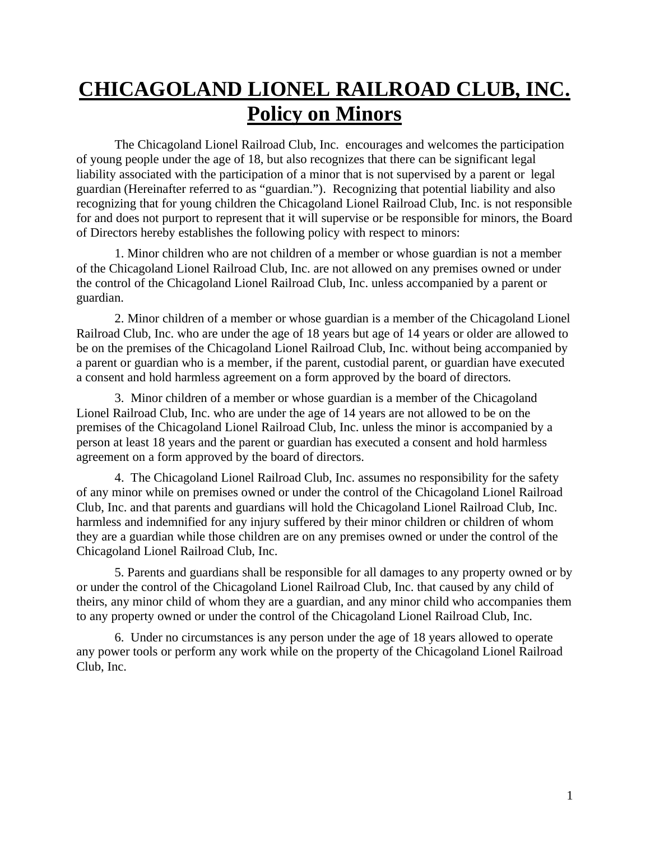## **CHICAGOLAND LIONEL RAILROAD CLUB, INC. Policy on Minors**

The Chicagoland Lionel Railroad Club, Inc. encourages and welcomes the participation of young people under the age of 18, but also recognizes that there can be significant legal liability associated with the participation of a minor that is not supervised by a parent or legal guardian (Hereinafter referred to as "guardian."). Recognizing that potential liability and also recognizing that for young children the Chicagoland Lionel Railroad Club, Inc. is not responsible for and does not purport to represent that it will supervise or be responsible for minors, the Board of Directors hereby establishes the following policy with respect to minors:

1. Minor children who are not children of a member or whose guardian is not a member of the Chicagoland Lionel Railroad Club, Inc. are not allowed on any premises owned or under the control of the Chicagoland Lionel Railroad Club, Inc. unless accompanied by a parent or guardian.

2. Minor children of a member or whose guardian is a member of the Chicagoland Lionel Railroad Club, Inc. who are under the age of 18 years but age of 14 years or older are allowed to be on the premises of the Chicagoland Lionel Railroad Club, Inc. without being accompanied by a parent or guardian who is a member, if the parent, custodial parent, or guardian have executed a consent and hold harmless agreement on a form approved by the board of directors.

3. Minor children of a member or whose guardian is a member of the Chicagoland Lionel Railroad Club, Inc. who are under the age of 14 years are not allowed to be on the premises of the Chicagoland Lionel Railroad Club, Inc. unless the minor is accompanied by a person at least 18 years and the parent or guardian has executed a consent and hold harmless agreement on a form approved by the board of directors.

4. The Chicagoland Lionel Railroad Club, Inc. assumes no responsibility for the safety of any minor while on premises owned or under the control of the Chicagoland Lionel Railroad Club, Inc. and that parents and guardians will hold the Chicagoland Lionel Railroad Club, Inc. harmless and indemnified for any injury suffered by their minor children or children of whom they are a guardian while those children are on any premises owned or under the control of the Chicagoland Lionel Railroad Club, Inc.

5. Parents and guardians shall be responsible for all damages to any property owned or by or under the control of the Chicagoland Lionel Railroad Club, Inc. that caused by any child of theirs, any minor child of whom they are a guardian, and any minor child who accompanies them to any property owned or under the control of the Chicagoland Lionel Railroad Club, Inc.

6. Under no circumstances is any person under the age of 18 years allowed to operate any power tools or perform any work while on the property of the Chicagoland Lionel Railroad Club, Inc.